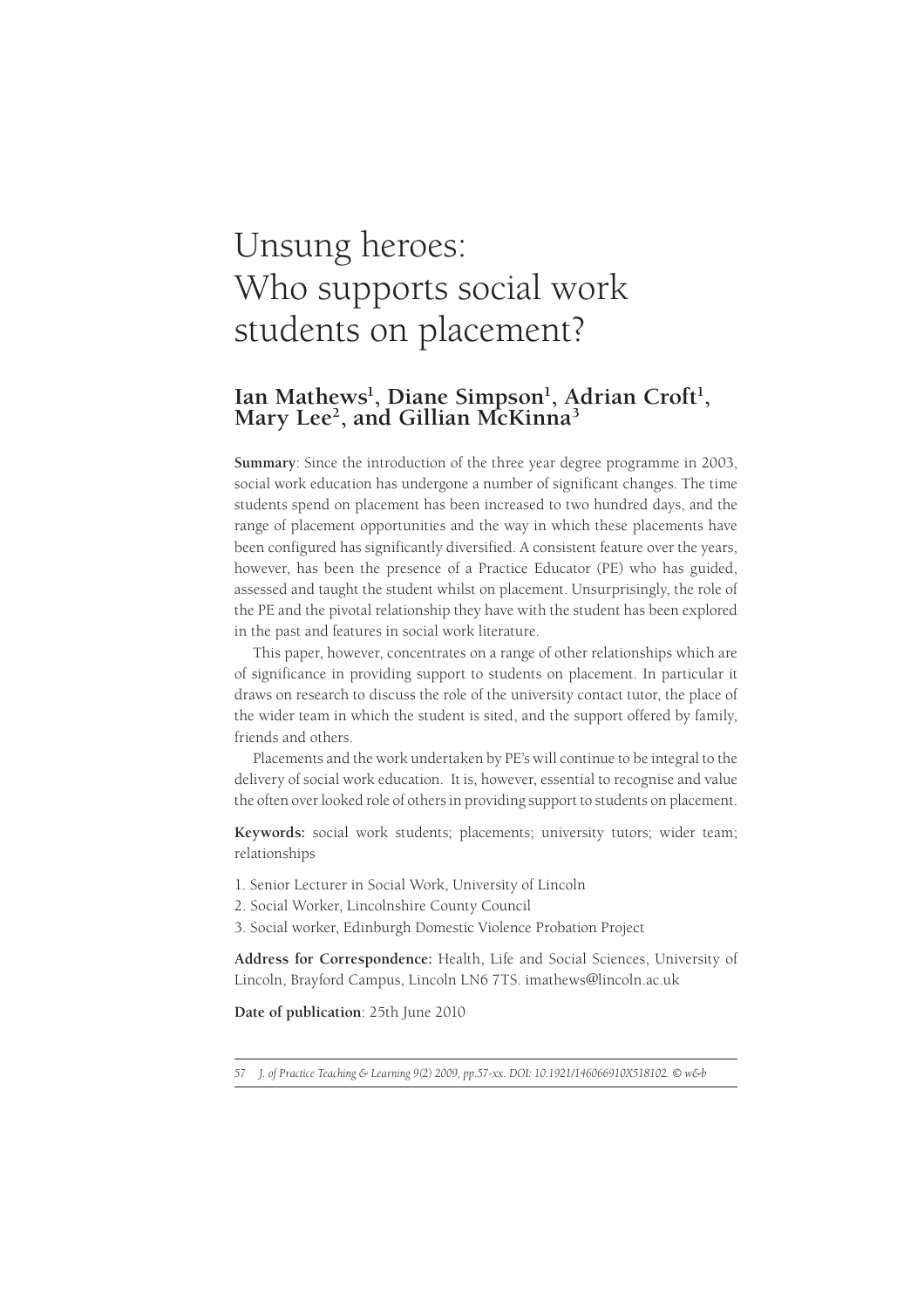# Unsung heroes: Who supports social work students on placement?

# Ian Mathews<sup>1</sup>, Diane Simpson<sup>1</sup>, Adrian Croft<sup>1</sup>,<br>Mary Lee<sup>2</sup>, and Gillian McKinna<sup>3</sup> Mary Lee<sup>2</sup>, and Gillian McKinna<sup>3</sup>

**Summary**: Since the introduction of the three year degree programme in 2003, social work education has undergone a number of significant changes. The time students spend on placement has been increased to two hundred days, and the range of placement opportunities and the way in which these placements have been configured has significantly diversified. A consistent feature over the years, however, has been the presence of a Practice Educator (PE) who has guided, assessed and taught the student whilst on placement. Unsurprisingly, the role of the PE and the pivotal relationship they have with the student has been explored in the past and features in social work literature.

This paper, however, concentrates on a range of other relationships which are of significance in providing support to students on placement. In particular it draws on research to discuss the role of the university contact tutor, the place of the wider team in which the student is sited, and the support offered by family, friends and others.

Placements and the work undertaken by PE's will continue to be integral to the delivery of social work education. It is, however, essential to recognise and value the often over looked role of others in providing support to students on placement.

**Keywords:** social work students; placements; university tutors; wider team; relationships

- 1. Senior Lecturer in Social Work, University of Lincoln
- 2. Social Worker, Lincolnshire County Council
- 3. Social worker, Edinburgh Domestic Violence Probation Project

**Address for Correspondence:** Health, Life and Social Sciences, University of Lincoln, Brayford Campus, Lincoln LN6 7TS. imathews@lincoln.ac.uk

**Date of publication**: 25th June 2010

*<sup>57</sup> J. of Practice Teaching & Learning 9(2) 2009, pp.57-xx. DOI: 10.1921/146066910X518102. © w&b*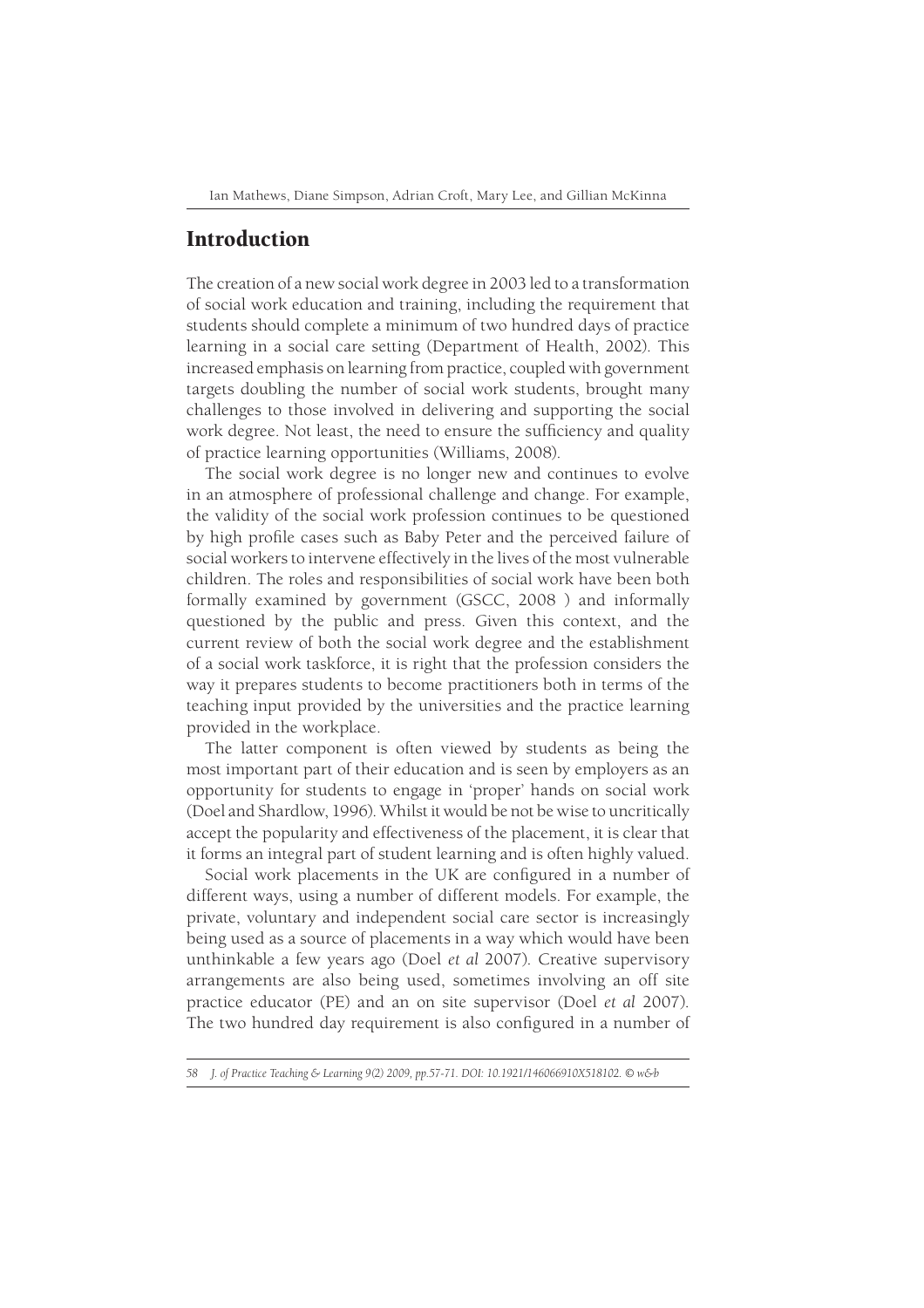## Introduction

The creation of a new social work degree in 2003 led to a transformation of social work education and training, including the requirement that students should complete a minimum of two hundred days of practice learning in a social care setting (Department of Health, 2002). This increased emphasis on learning from practice, coupled with government targets doubling the number of social work students, brought many challenges to those involved in delivering and supporting the social work degree. Not least, the need to ensure the sufficiency and quality of practice learning opportunities (Williams, 2008).

The social work degree is no longer new and continues to evolve in an atmosphere of professional challenge and change. For example, the validity of the social work profession continues to be questioned by high profile cases such as Baby Peter and the perceived failure of social workers to intervene effectively in the lives of the most vulnerable children. The roles and responsibilities of social work have been both formally examined by government (GSCC, 2008 ) and informally questioned by the public and press. Given this context, and the current review of both the social work degree and the establishment of a social work taskforce, it is right that the profession considers the way it prepares students to become practitioners both in terms of the teaching input provided by the universities and the practice learning provided in the workplace.

The latter component is often viewed by students as being the most important part of their education and is seen by employers as an opportunity for students to engage in 'proper' hands on social work (Doel and Shardlow, 1996). Whilst it would be not be wise to uncritically accept the popularity and effectiveness of the placement, it is clear that it forms an integral part of student learning and is often highly valued.

Social work placements in the UK are configured in a number of different ways, using a number of different models. For example, the private, voluntary and independent social care sector is increasingly being used as a source of placements in a way which would have been unthinkable a few years ago (Doel *et al* 2007). Creative supervisory arrangements are also being used, sometimes involving an off site practice educator (PE) and an on site supervisor (Doel *et al* 2007). The two hundred day requirement is also configured in a number of

*<sup>58</sup> J. of Practice Teaching & Learning 9(2) 2009, pp.57-71. DOI: 10.1921/146066910X518102. © w&b*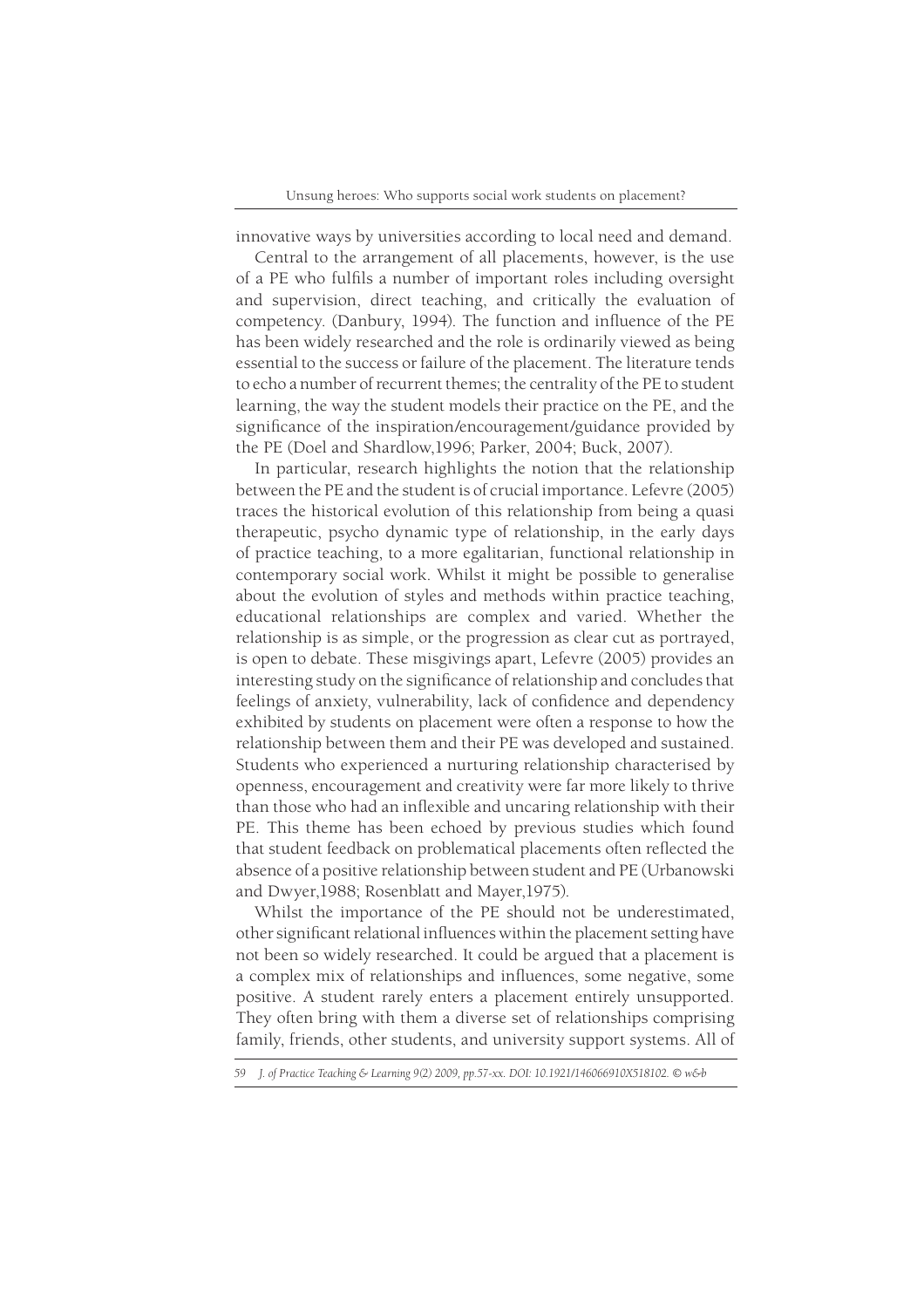innovative ways by universities according to local need and demand.

Central to the arrangement of all placements, however, is the use of a PE who fulfils a number of important roles including oversight and supervision, direct teaching, and critically the evaluation of competency. (Danbury, 1994). The function and influence of the PE has been widely researched and the role is ordinarily viewed as being essential to the success or failure of the placement. The literature tends to echo a number of recurrent themes; the centrality of the PE to student learning, the way the student models their practice on the PE, and the significance of the inspiration/encouragement/guidance provided by the PE (Doel and Shardlow,1996; Parker, 2004; Buck, 2007).

In particular, research highlights the notion that the relationship between the PE and the student is of crucial importance. Lefevre (2005) traces the historical evolution of this relationship from being a quasi therapeutic, psycho dynamic type of relationship, in the early days of practice teaching, to a more egalitarian, functional relationship in contemporary social work. Whilst it might be possible to generalise about the evolution of styles and methods within practice teaching, educational relationships are complex and varied. Whether the relationship is as simple, or the progression as clear cut as portrayed, is open to debate. These misgivings apart, Lefevre (2005) provides an interesting study on the significance of relationship and concludes that feelings of anxiety, vulnerability, lack of confidence and dependency exhibited by students on placement were often a response to how the relationship between them and their PE was developed and sustained. Students who experienced a nurturing relationship characterised by openness, encouragement and creativity were far more likely to thrive than those who had an inflexible and uncaring relationship with their PE. This theme has been echoed by previous studies which found that student feedback on problematical placements often reflected the absence of a positive relationship between student and PE (Urbanowski and Dwyer,1988; Rosenblatt and Mayer,1975).

Whilst the importance of the PE should not be underestimated, other significant relational influences within the placement setting have not been so widely researched. It could be argued that a placement is a complex mix of relationships and influences, some negative, some positive. A student rarely enters a placement entirely unsupported. They often bring with them a diverse set of relationships comprising family, friends, other students, and university support systems. All of

*<sup>59</sup> J. of Practice Teaching & Learning 9(2) 2009, pp.57-xx. DOI: 10.1921/146066910X518102. © w&b*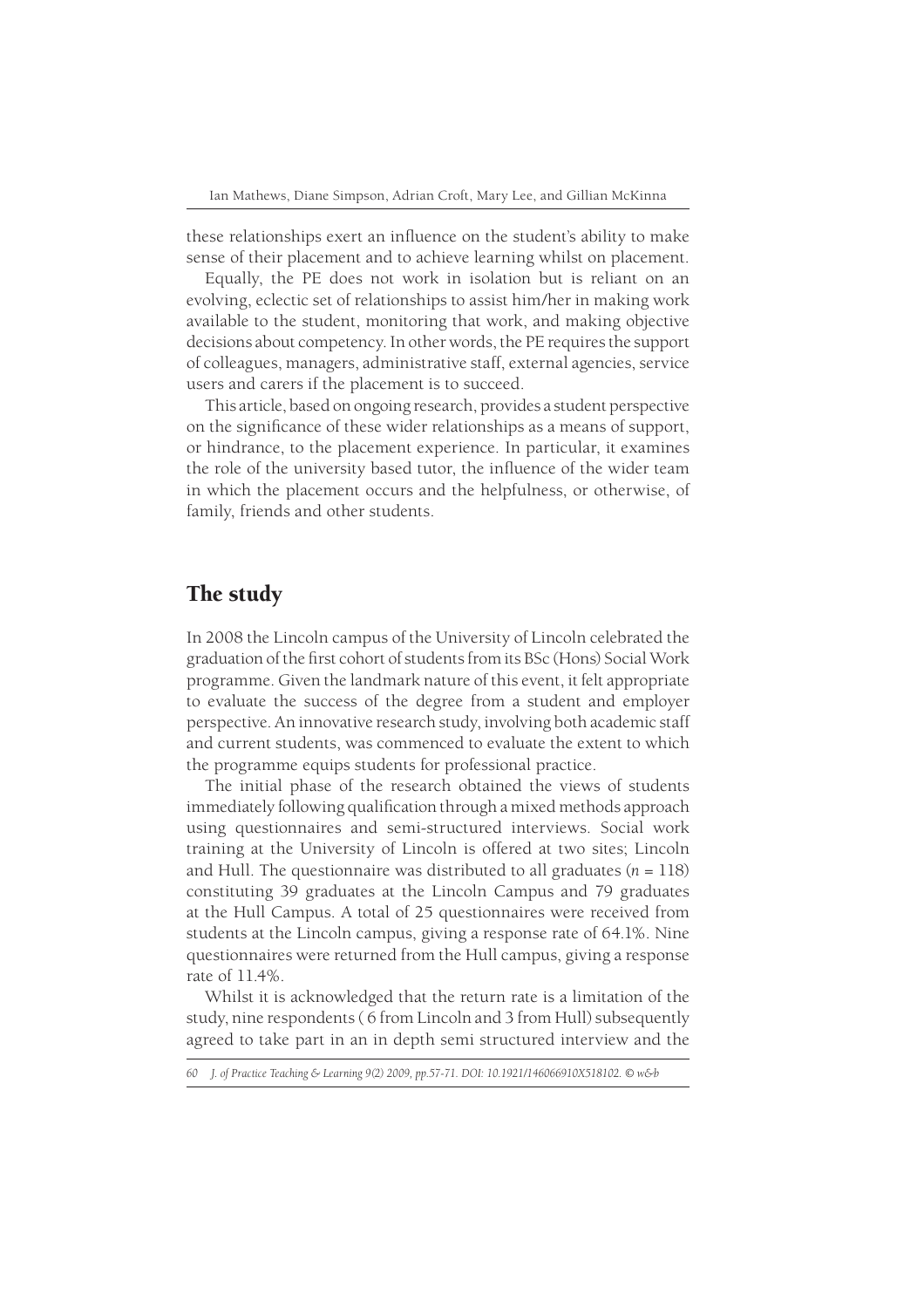these relationships exert an influence on the student's ability to make sense of their placement and to achieve learning whilst on placement.

Equally, the PE does not work in isolation but is reliant on an evolving, eclectic set of relationships to assist him/her in making work available to the student, monitoring that work, and making objective decisions about competency. In other words, the PE requires the support of colleagues, managers, administrative staff, external agencies, service users and carers if the placement is to succeed.

This article, based on ongoing research, provides a student perspective on the significance of these wider relationships as a means of support, or hindrance, to the placement experience. In particular, it examines the role of the university based tutor, the influence of the wider team in which the placement occurs and the helpfulness, or otherwise, of family, friends and other students.

## The study

In 2008 the Lincoln campus of the University of Lincoln celebrated the graduation of the first cohort of students from its BSc (Hons) Social Work programme. Given the landmark nature of this event, it felt appropriate to evaluate the success of the degree from a student and employer perspective. An innovative research study, involving both academic staff and current students, was commenced to evaluate the extent to which the programme equips students for professional practice.

The initial phase of the research obtained the views of students immediately following qualification through a mixed methods approach using questionnaires and semi-structured interviews. Social work training at the University of Lincoln is offered at two sites; Lincoln and Hull. The questionnaire was distributed to all graduates  $(n = 118)$ constituting 39 graduates at the Lincoln Campus and 79 graduates at the Hull Campus. A total of 25 questionnaires were received from students at the Lincoln campus, giving a response rate of 64.1%. Nine questionnaires were returned from the Hull campus, giving a response rate of 11.4%.

Whilst it is acknowledged that the return rate is a limitation of the study, nine respondents ( 6 from Lincoln and 3 from Hull) subsequently agreed to take part in an in depth semi structured interview and the

*<sup>60</sup> J. of Practice Teaching & Learning 9(2) 2009, pp.57-71. DOI: 10.1921/146066910X518102. © w&b*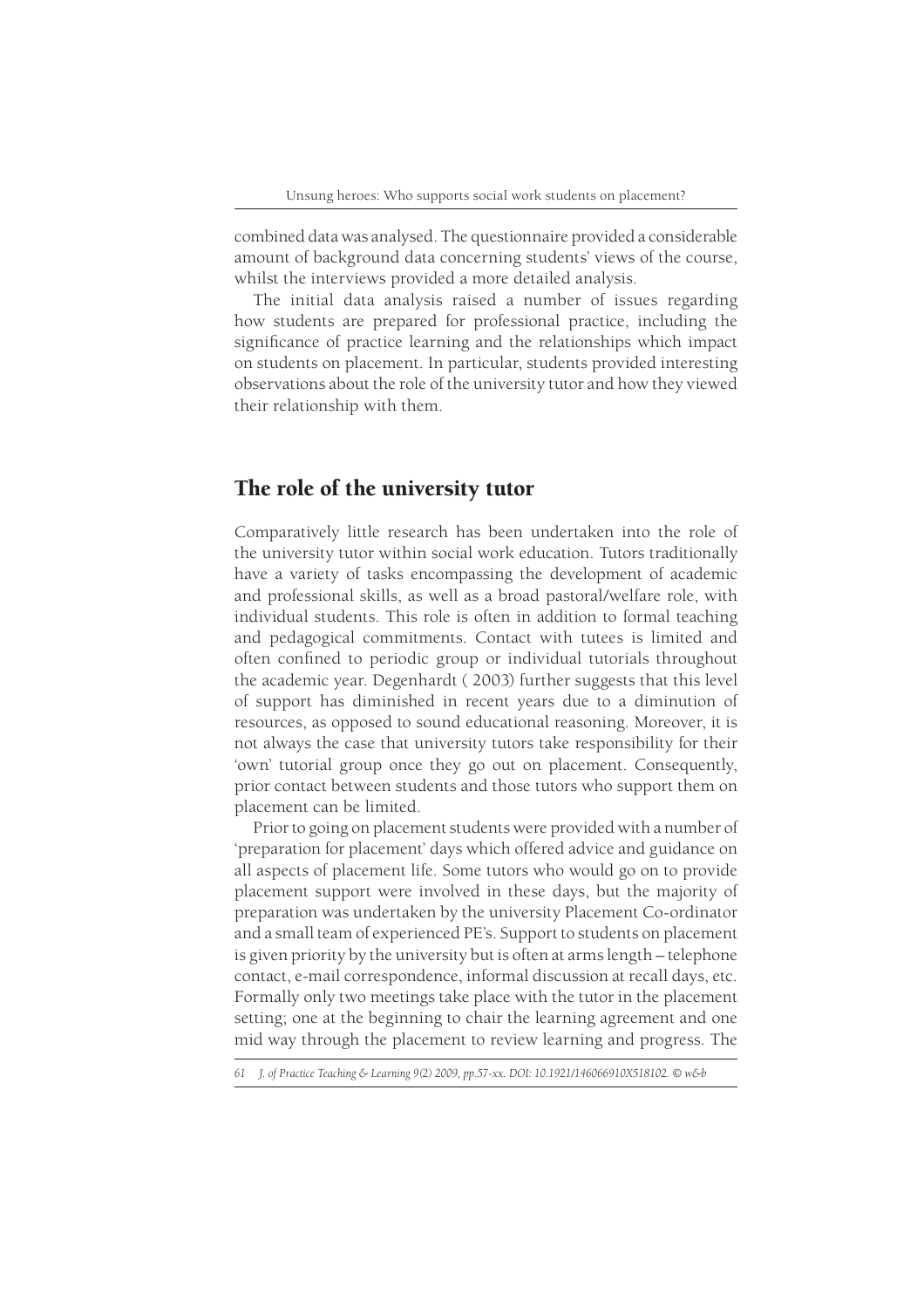combined data was analysed. The questionnaire provided a considerable amount of background data concerning students' views of the course, whilst the interviews provided a more detailed analysis.

The initial data analysis raised a number of issues regarding how students are prepared for professional practice, including the significance of practice learning and the relationships which impact on students on placement. In particular, students provided interesting observations about the role of the university tutor and how they viewed their relationship with them.

#### The role of the university tutor

Comparatively little research has been undertaken into the role of the university tutor within social work education. Tutors traditionally have a variety of tasks encompassing the development of academic and professional skills, as well as a broad pastoral/welfare role, with individual students. This role is often in addition to formal teaching and pedagogical commitments. Contact with tutees is limited and often confined to periodic group or individual tutorials throughout the academic year. Degenhardt ( 2003) further suggests that this level of support has diminished in recent years due to a diminution of resources, as opposed to sound educational reasoning. Moreover, it is not always the case that university tutors take responsibility for their 'own' tutorial group once they go out on placement. Consequently, prior contact between students and those tutors who support them on placement can be limited.

Prior to going on placement students were provided with a number of 'preparation for placement' days which offered advice and guidance on all aspects of placement life. Some tutors who would go on to provide placement support were involved in these days, but the majority of preparation was undertaken by the university Placement Co-ordinator and a small team of experienced PE's. Support to students on placement is given priority by the university but is often at arms length – telephone contact, e-mail correspondence, informal discussion at recall days, etc. Formally only two meetings take place with the tutor in the placement setting; one at the beginning to chair the learning agreement and one mid way through the placement to review learning and progress. The

*<sup>61</sup> J. of Practice Teaching & Learning 9(2) 2009, pp.57-xx. DOI: 10.1921/146066910X518102. © w&b*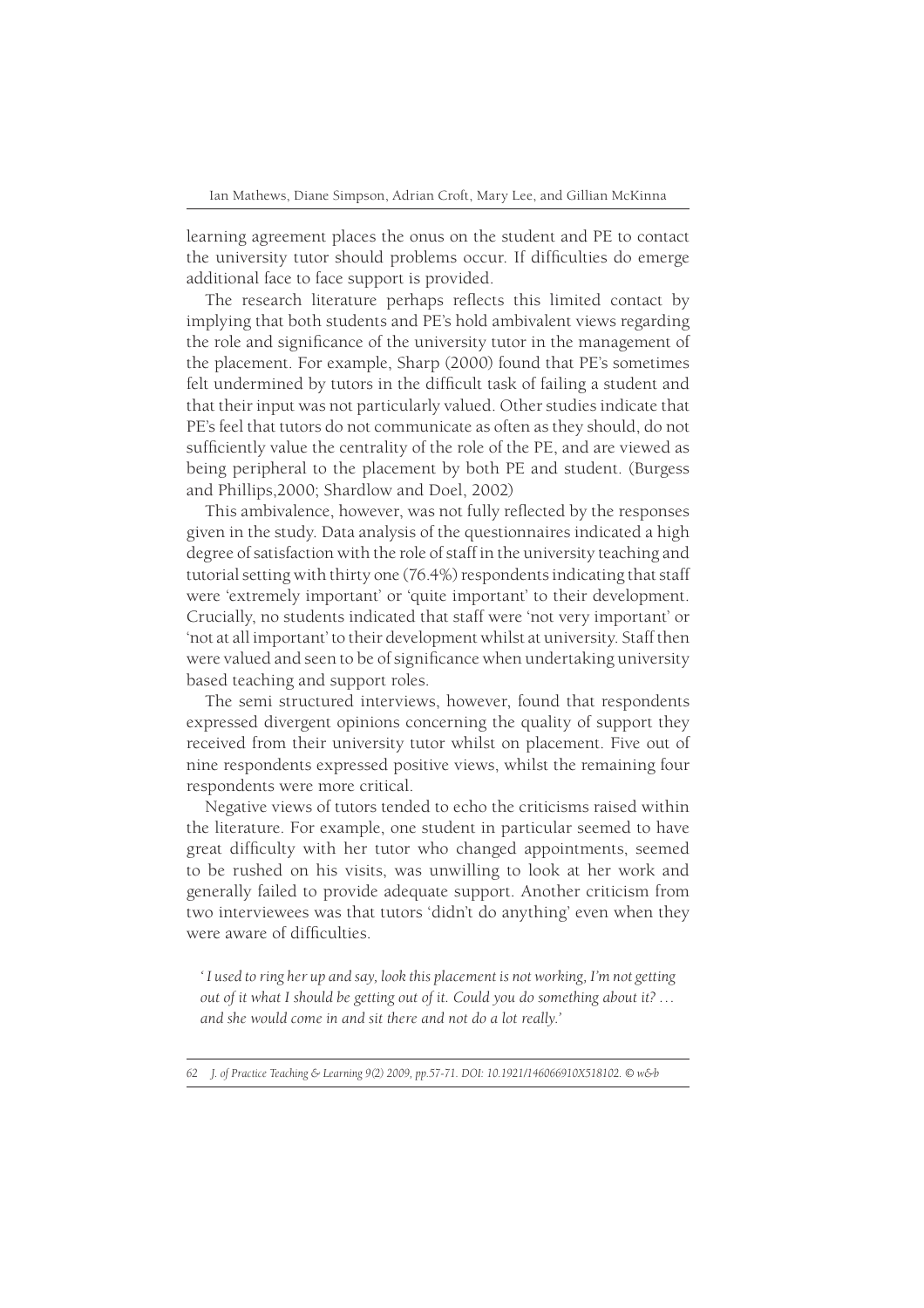learning agreement places the onus on the student and PE to contact the university tutor should problems occur. If difficulties do emerge additional face to face support is provided.

The research literature perhaps reflects this limited contact by implying that both students and PE's hold ambivalent views regarding the role and significance of the university tutor in the management of the placement. For example, Sharp (2000) found that PE's sometimes felt undermined by tutors in the difficult task of failing a student and that their input was not particularly valued. Other studies indicate that PE's feel that tutors do not communicate as often as they should, do not sufficiently value the centrality of the role of the PE, and are viewed as being peripheral to the placement by both PE and student. (Burgess and Phillips,2000; Shardlow and Doel, 2002)

This ambivalence, however, was not fully reflected by the responses given in the study. Data analysis of the questionnaires indicated a high degree of satisfaction with the role of staff in the university teaching and tutorial setting with thirty one (76.4%) respondents indicating that staff were 'extremely important' or 'quite important' to their development. Crucially, no students indicated that staff were 'not very important' or 'not at all important' to their development whilst at university. Staff then were valued and seen to be of significance when undertaking university based teaching and support roles.

The semi structured interviews, however, found that respondents expressed divergent opinions concerning the quality of support they received from their university tutor whilst on placement. Five out of nine respondents expressed positive views, whilst the remaining four respondents were more critical.

Negative views of tutors tended to echo the criticisms raised within the literature. For example, one student in particular seemed to have great difficulty with her tutor who changed appointments, seemed to be rushed on his visits, was unwilling to look at her work and generally failed to provide adequate support. Another criticism from two interviewees was that tutors 'didn't do anything' even when they were aware of difficulties.

*' I used to ring her up and say, look this placement is not working, I'm not getting out of it what I should be getting out of it. Could you do something about it? … and she would come in and sit there and not do a lot really.'*

*62 J. of Practice Teaching & Learning 9(2) 2009, pp.57-71. DOI: 10.1921/146066910X518102. © w&b*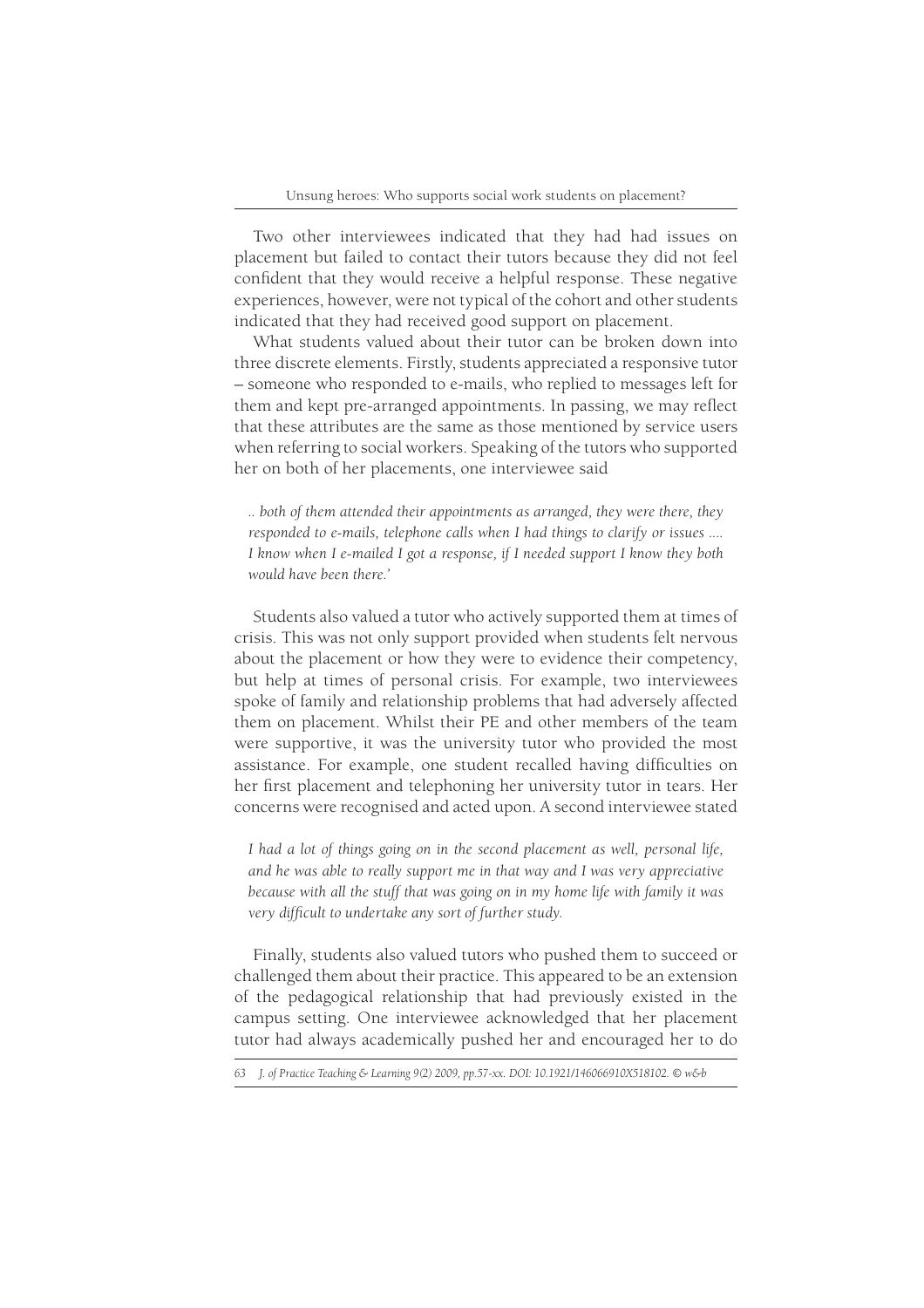Two other interviewees indicated that they had had issues on placement but failed to contact their tutors because they did not feel confident that they would receive a helpful response. These negative experiences, however, were not typical of the cohort and other students indicated that they had received good support on placement.

What students valued about their tutor can be broken down into three discrete elements. Firstly, students appreciated a responsive tutor – someone who responded to e-mails, who replied to messages left for them and kept pre-arranged appointments. In passing, we may reflect that these attributes are the same as those mentioned by service users when referring to social workers. Speaking of the tutors who supported her on both of her placements, one interviewee said

*.. both of them attended their appointments as arranged, they were there, they responded to e-mails, telephone calls when I had things to clarify or issues .... I know when I e-mailed I got a response, if I needed support I know they both would have been there.'*

Students also valued a tutor who actively supported them at times of crisis. This was not only support provided when students felt nervous about the placement or how they were to evidence their competency, but help at times of personal crisis. For example, two interviewees spoke of family and relationship problems that had adversely affected them on placement. Whilst their PE and other members of the team were supportive, it was the university tutor who provided the most assistance. For example, one student recalled having difficulties on her first placement and telephoning her university tutor in tears. Her concerns were recognised and acted upon. A second interviewee stated

*I had a lot of things going on in the second placement as well, personal life, and he was able to really support me in that way and I was very appreciative because with all the stuff that was going on in my home life with family it was*  very difficult to undertake any sort of further study.

Finally, students also valued tutors who pushed them to succeed or challenged them about their practice. This appeared to be an extension of the pedagogical relationship that had previously existed in the campus setting. One interviewee acknowledged that her placement tutor had always academically pushed her and encouraged her to do

*<sup>63</sup> J. of Practice Teaching & Learning 9(2) 2009, pp.57-xx. DOI: 10.1921/146066910X518102. © w&b*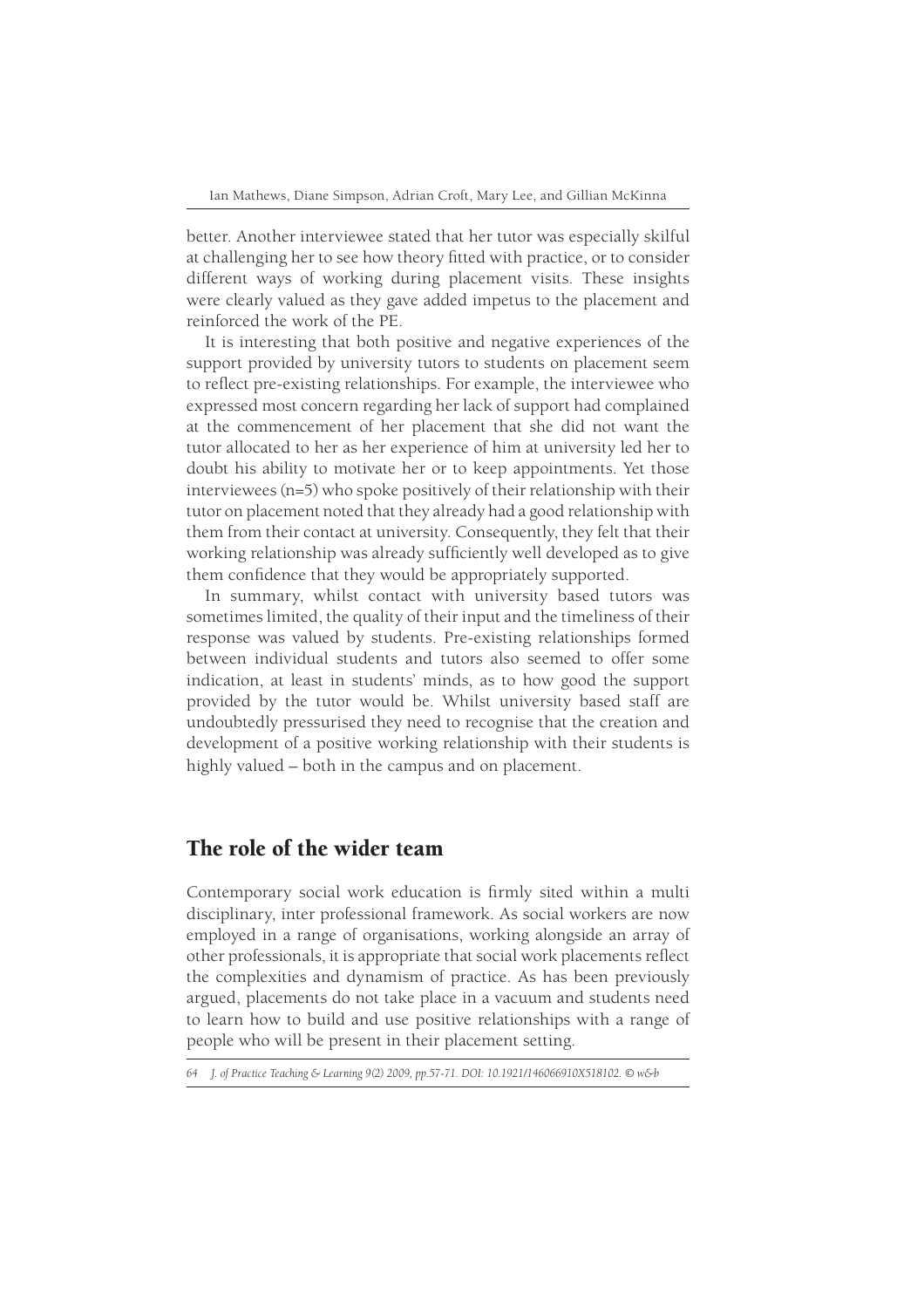better. Another interviewee stated that her tutor was especially skilful at challenging her to see how theory fitted with practice, or to consider different ways of working during placement visits. These insights were clearly valued as they gave added impetus to the placement and reinforced the work of the PE.

It is interesting that both positive and negative experiences of the support provided by university tutors to students on placement seem to reflect pre-existing relationships. For example, the interviewee who expressed most concern regarding her lack of support had complained at the commencement of her placement that she did not want the tutor allocated to her as her experience of him at university led her to doubt his ability to motivate her or to keep appointments. Yet those interviewees (n=5) who spoke positively of their relationship with their tutor on placement noted that they already had a good relationship with them from their contact at university. Consequently, they felt that their working relationship was already sufficiently well developed as to give them confidence that they would be appropriately supported.

In summary, whilst contact with university based tutors was sometimes limited, the quality of their input and the timeliness of their response was valued by students. Pre-existing relationships formed between individual students and tutors also seemed to offer some indication, at least in students' minds, as to how good the support provided by the tutor would be. Whilst university based staff are undoubtedly pressurised they need to recognise that the creation and development of a positive working relationship with their students is highly valued – both in the campus and on placement.

# The role of the wider team

Contemporary social work education is firmly sited within a multi disciplinary, inter professional framework. As social workers are now employed in a range of organisations, working alongside an array of other professionals, it is appropriate that social work placements reflect the complexities and dynamism of practice. As has been previously argued, placements do not take place in a vacuum and students need to learn how to build and use positive relationships with a range of people who will be present in their placement setting.

*<sup>64</sup> J. of Practice Teaching & Learning 9(2) 2009, pp.57-71. DOI: 10.1921/146066910X518102. © w&b*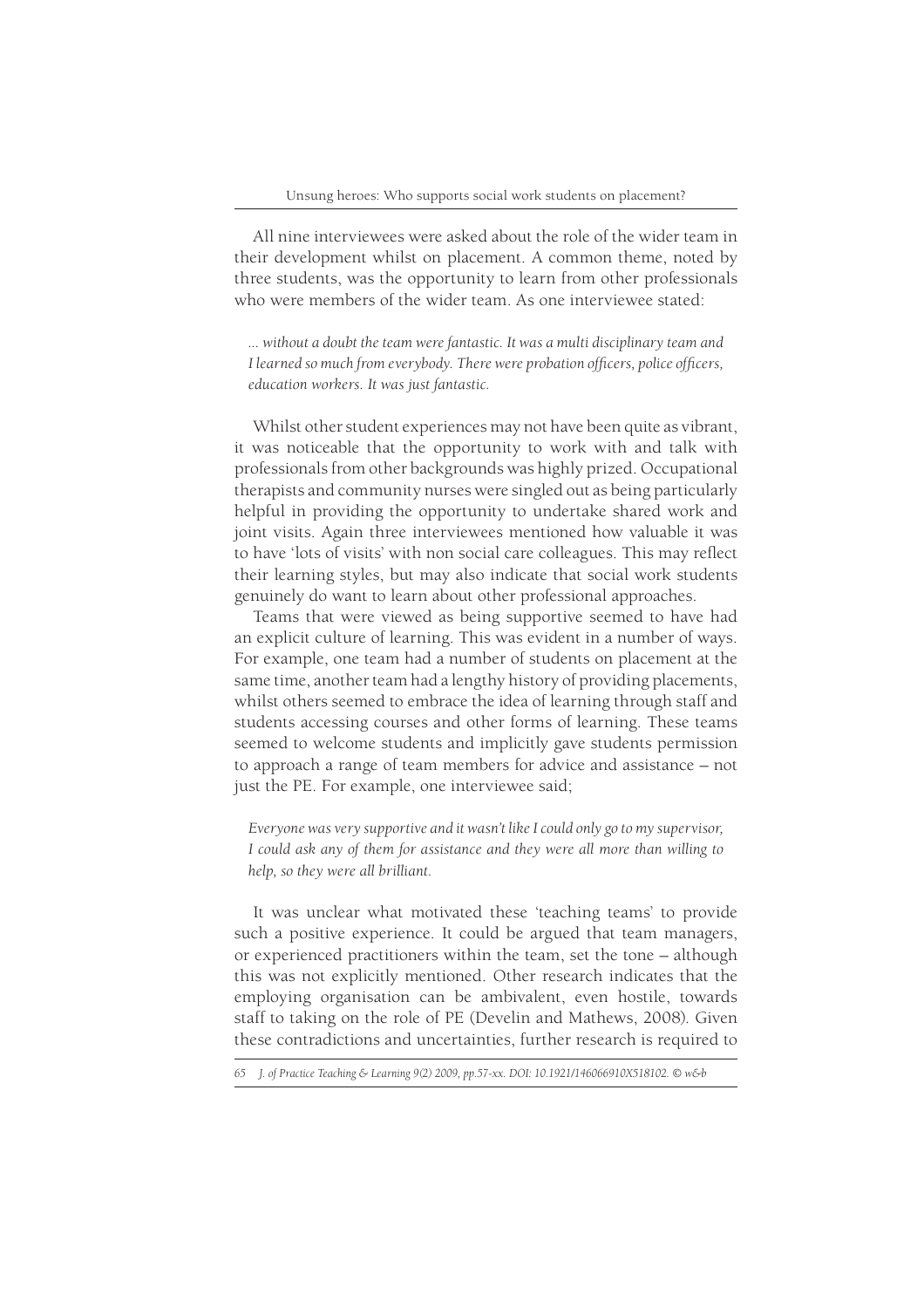All nine interviewees were asked about the role of the wider team in their development whilst on placement. A common theme, noted by three students, was the opportunity to learn from other professionals who were members of the wider team. As one interviewee stated:

*... without a doubt the team were fantastic. It was a multi disciplinary team and I learned so much from everybody. There were probation officers, police officers, education workers. It was just fantastic.*

Whilst other student experiences may not have been quite as vibrant, it was noticeable that the opportunity to work with and talk with professionals from other backgrounds was highly prized. Occupational therapists and community nurses were singled out as being particularly helpful in providing the opportunity to undertake shared work and joint visits. Again three interviewees mentioned how valuable it was to have 'lots of visits' with non social care colleagues. This may reflect their learning styles, but may also indicate that social work students genuinely do want to learn about other professional approaches.

Teams that were viewed as being supportive seemed to have had an explicit culture of learning. This was evident in a number of ways. For example, one team had a number of students on placement at the same time, another team had a lengthy history of providing placements, whilst others seemed to embrace the idea of learning through staff and students accessing courses and other forms of learning. These teams seemed to welcome students and implicitly gave students permission to approach a range of team members for advice and assistance – not just the PE. For example, one interviewee said;

*Everyone was very supportive and it wasn't like I could only go to my supervisor, I could ask any of them for assistance and they were all more than willing to help, so they were all brilliant.*

It was unclear what motivated these 'teaching teams' to provide such a positive experience. It could be argued that team managers, or experienced practitioners within the team, set the tone – although this was not explicitly mentioned. Other research indicates that the employing organisation can be ambivalent, even hostile, towards staff to taking on the role of PE (Develin and Mathews, 2008). Given these contradictions and uncertainties, further research is required to

*<sup>65</sup> J. of Practice Teaching & Learning 9(2) 2009, pp.57-xx. DOI: 10.1921/146066910X518102. © w&b*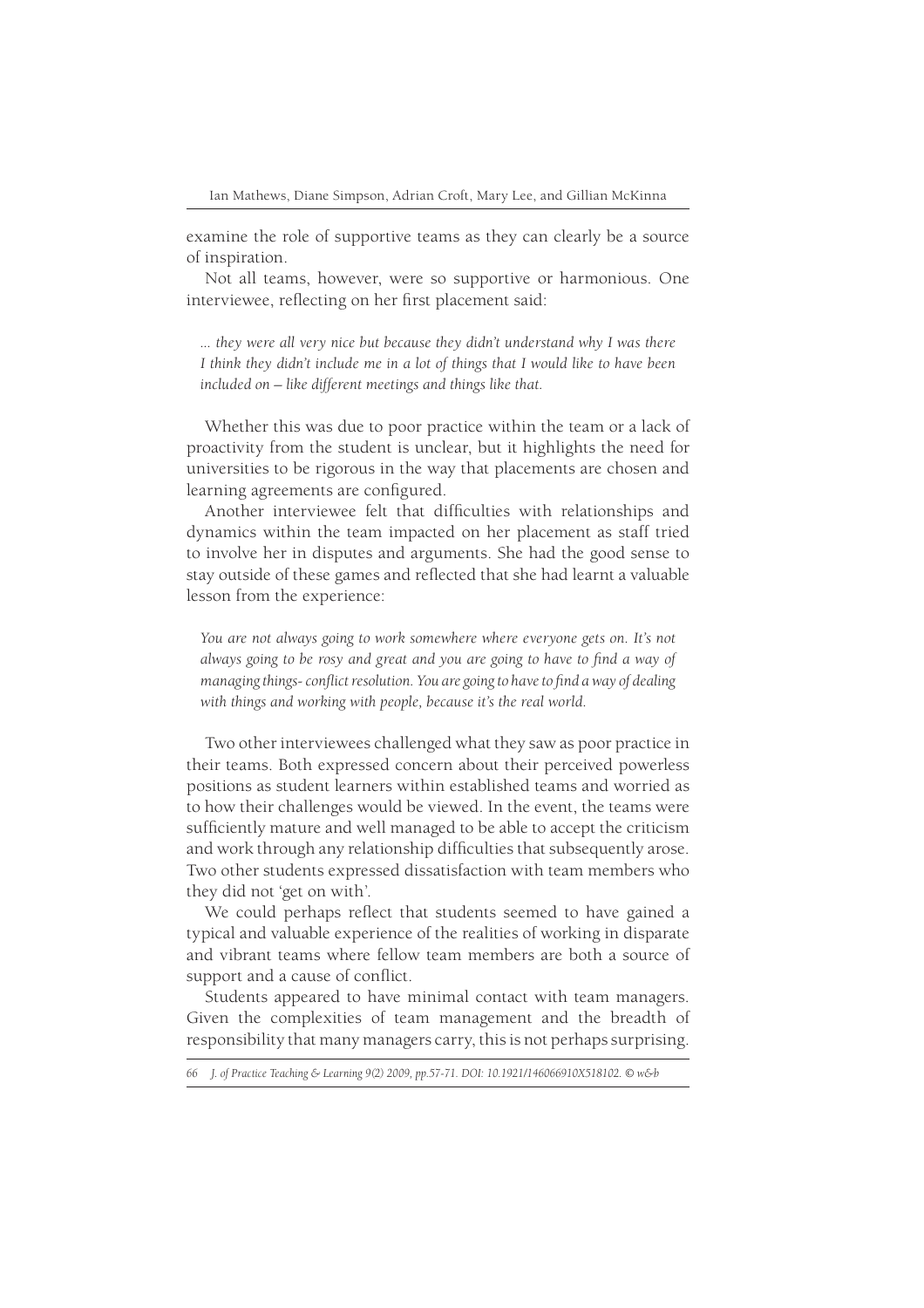examine the role of supportive teams as they can clearly be a source of inspiration.

Not all teams, however, were so supportive or harmonious. One interviewee, reflecting on her first placement said:

*... they were all very nice but because they didn't understand why I was there I think they didn't include me in a lot of things that I would like to have been included on – like different meetings and things like that.*

Whether this was due to poor practice within the team or a lack of proactivity from the student is unclear, but it highlights the need for universities to be rigorous in the way that placements are chosen and learning agreements are configured.

Another interviewee felt that difficulties with relationships and dynamics within the team impacted on her placement as staff tried to involve her in disputes and arguments. She had the good sense to stay outside of these games and reflected that she had learnt a valuable lesson from the experience:

*You are not always going to work somewhere where everyone gets on. It's not*  always going to be rosy and great and you are going to have to find a way of *managing things- conflict resolution. You are going to have to find a way of dealing with things and working with people, because it's the real world.*

Two other interviewees challenged what they saw as poor practice in their teams. Both expressed concern about their perceived powerless positions as student learners within established teams and worried as to how their challenges would be viewed. In the event, the teams were sufficiently mature and well managed to be able to accept the criticism and work through any relationship difficulties that subsequently arose. Two other students expressed dissatisfaction with team members who they did not 'get on with'.

We could perhaps reflect that students seemed to have gained a typical and valuable experience of the realities of working in disparate and vibrant teams where fellow team members are both a source of support and a cause of conflict.

Students appeared to have minimal contact with team managers. Given the complexities of team management and the breadth of responsibility that many managers carry, this is not perhaps surprising.

*<sup>66</sup> J. of Practice Teaching & Learning 9(2) 2009, pp.57-71. DOI: 10.1921/146066910X518102. © w&b*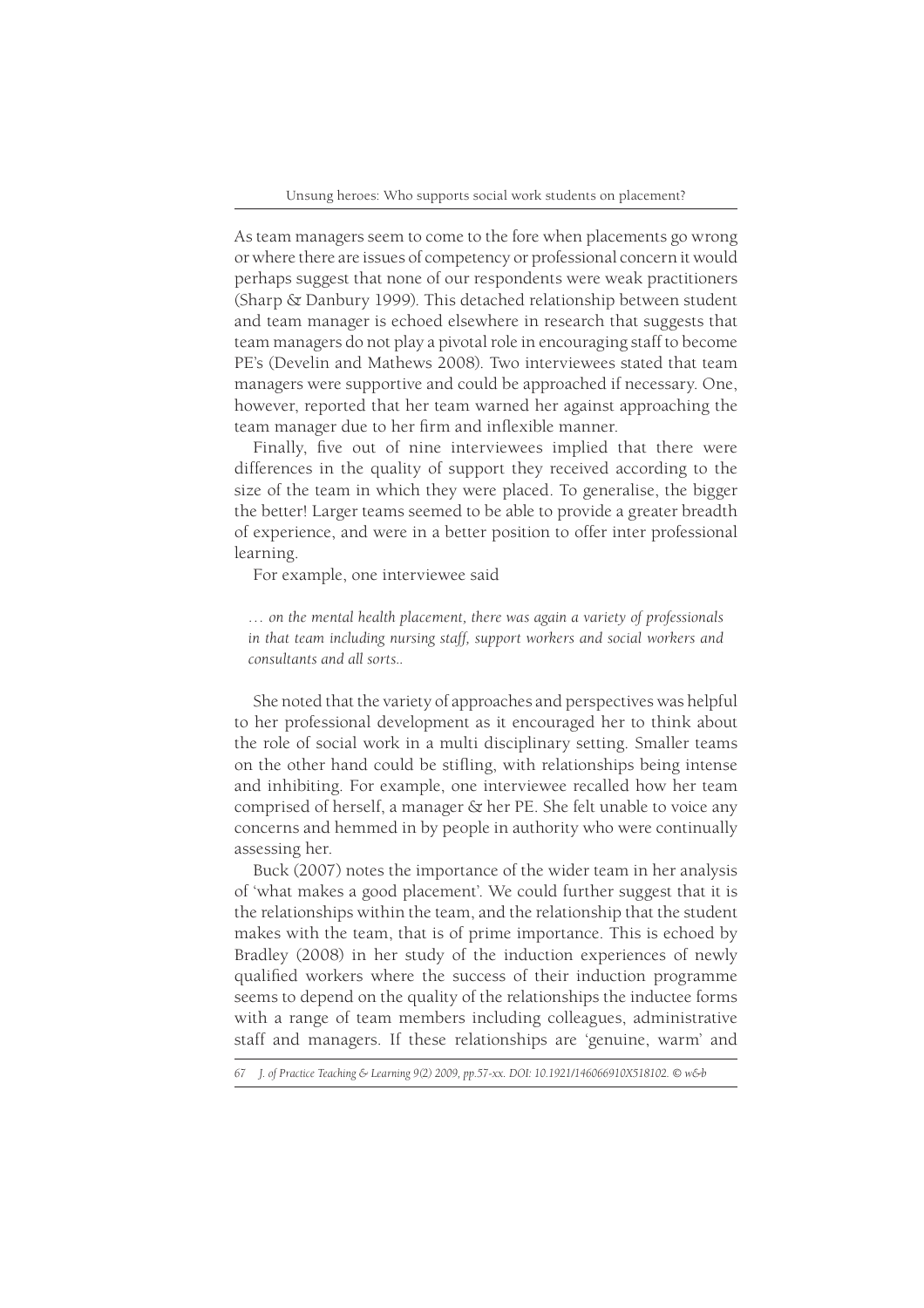As team managers seem to come to the fore when placements go wrong or where there are issues of competency or professional concern it would perhaps suggest that none of our respondents were weak practitioners (Sharp & Danbury 1999). This detached relationship between student and team manager is echoed elsewhere in research that suggests that team managers do not play a pivotal role in encouraging staff to become PE's (Develin and Mathews 2008). Two interviewees stated that team managers were supportive and could be approached if necessary. One, however, reported that her team warned her against approaching the team manager due to her firm and inflexible manner.

Finally, five out of nine interviewees implied that there were differences in the quality of support they received according to the size of the team in which they were placed. To generalise, the bigger the better! Larger teams seemed to be able to provide a greater breadth of experience, and were in a better position to offer inter professional learning.

For example, one interviewee said

*… on the mental health placement, there was again a variety of professionals in that team including nursing staff, support workers and social workers and consultants and all sorts..*

She noted that the variety of approaches and perspectives was helpful to her professional development as it encouraged her to think about the role of social work in a multi disciplinary setting. Smaller teams on the other hand could be stifling, with relationships being intense and inhibiting. For example, one interviewee recalled how her team comprised of herself, a manager & her PE. She felt unable to voice any concerns and hemmed in by people in authority who were continually assessing her.

Buck (2007) notes the importance of the wider team in her analysis of 'what makes a good placement'. We could further suggest that it is the relationships within the team, and the relationship that the student makes with the team, that is of prime importance. This is echoed by Bradley (2008) in her study of the induction experiences of newly qualified workers where the success of their induction programme seems to depend on the quality of the relationships the inductee forms with a range of team members including colleagues, administrative staff and managers. If these relationships are 'genuine, warm' and

*<sup>67</sup> J. of Practice Teaching & Learning 9(2) 2009, pp.57-xx. DOI: 10.1921/146066910X518102. © w&b*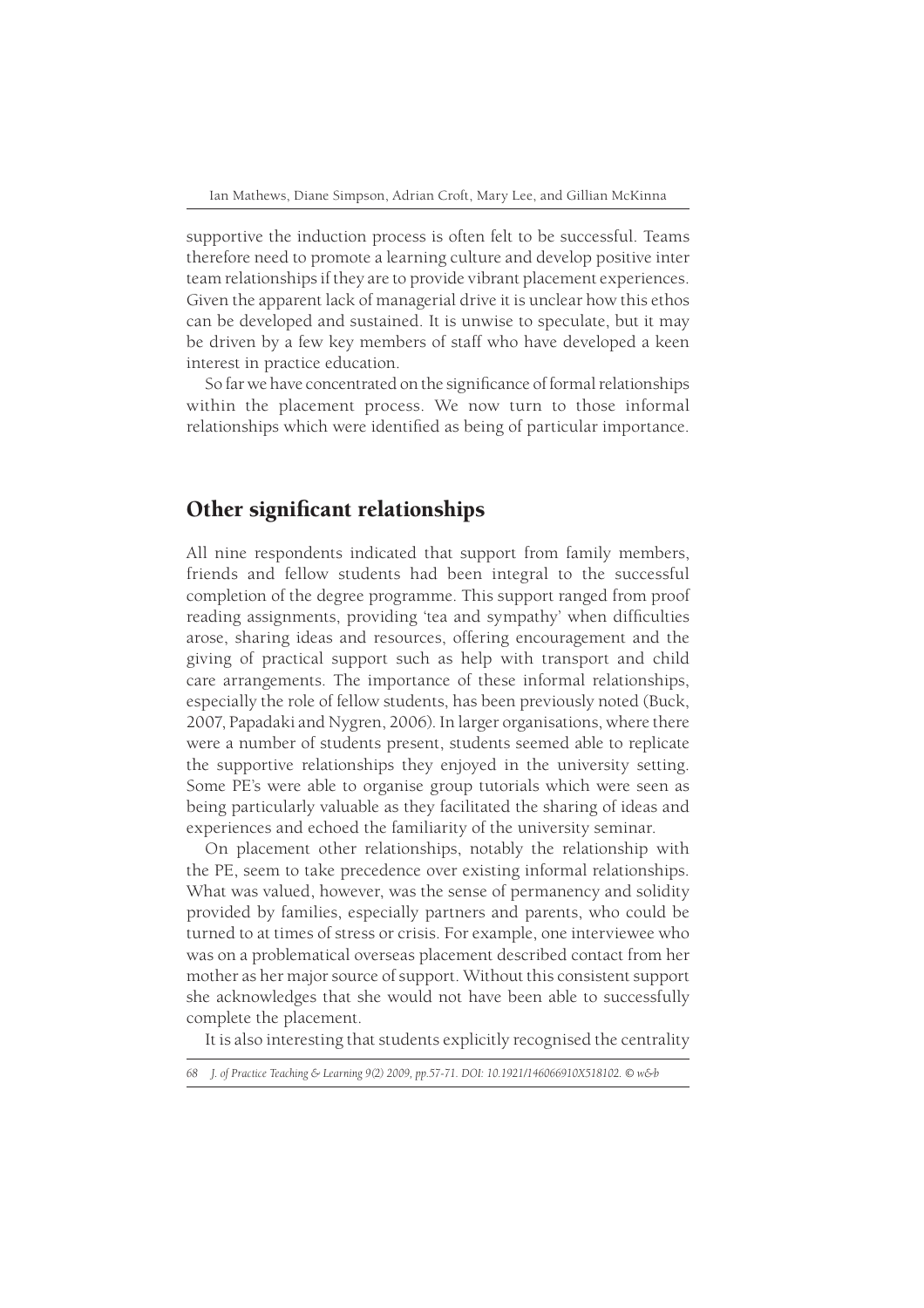supportive the induction process is often felt to be successful. Teams therefore need to promote a learning culture and develop positive inter team relationships if they are to provide vibrant placement experiences. Given the apparent lack of managerial drive it is unclear how this ethos can be developed and sustained. It is unwise to speculate, but it may be driven by a few key members of staff who have developed a keen interest in practice education.

So far we have concentrated on the significance of formal relationships within the placement process. We now turn to those informal relationships which were identified as being of particular importance.

# Other significant relationships

All nine respondents indicated that support from family members, friends and fellow students had been integral to the successful completion of the degree programme. This support ranged from proof reading assignments, providing 'tea and sympathy' when difficulties arose, sharing ideas and resources, offering encouragement and the giving of practical support such as help with transport and child care arrangements. The importance of these informal relationships, especially the role of fellow students, has been previously noted (Buck, 2007, Papadaki and Nygren, 2006). In larger organisations, where there were a number of students present, students seemed able to replicate the supportive relationships they enjoyed in the university setting. Some PE's were able to organise group tutorials which were seen as being particularly valuable as they facilitated the sharing of ideas and experiences and echoed the familiarity of the university seminar.

On placement other relationships, notably the relationship with the PE, seem to take precedence over existing informal relationships. What was valued, however, was the sense of permanency and solidity provided by families, especially partners and parents, who could be turned to at times of stress or crisis. For example, one interviewee who was on a problematical overseas placement described contact from her mother as her major source of support. Without this consistent support she acknowledges that she would not have been able to successfully complete the placement.

It is also interesting that students explicitly recognised the centrality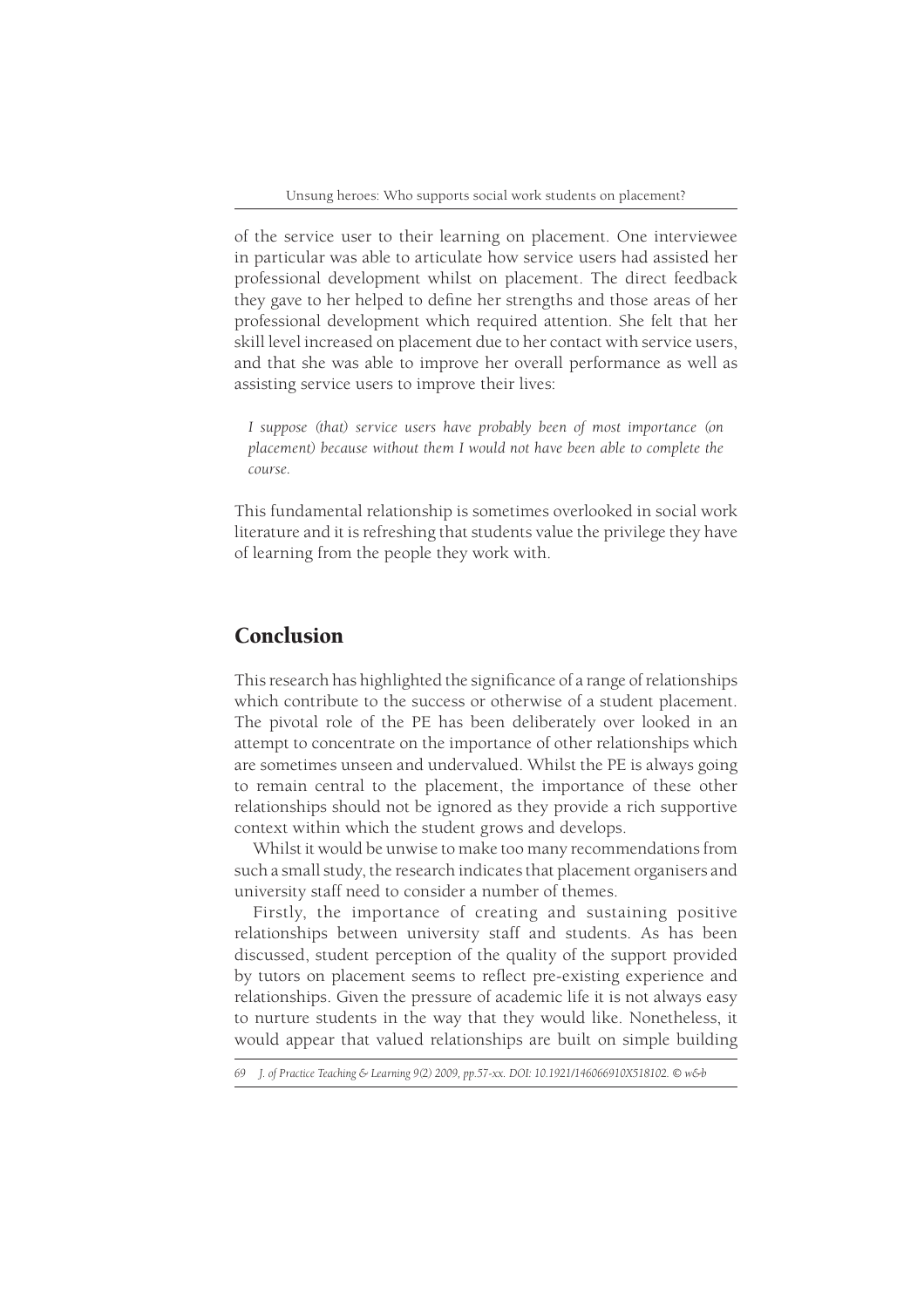of the service user to their learning on placement. One interviewee in particular was able to articulate how service users had assisted her professional development whilst on placement. The direct feedback they gave to her helped to define her strengths and those areas of her professional development which required attention. She felt that her skill level increased on placement due to her contact with service users, and that she was able to improve her overall performance as well as assisting service users to improve their lives:

*I suppose (that) service users have probably been of most importance (on placement) because without them I would not have been able to complete the course.*

This fundamental relationship is sometimes overlooked in social work literature and it is refreshing that students value the privilege they have of learning from the people they work with.

# Conclusion

This research has highlighted the significance of a range of relationships which contribute to the success or otherwise of a student placement. The pivotal role of the PE has been deliberately over looked in an attempt to concentrate on the importance of other relationships which are sometimes unseen and undervalued. Whilst the PE is always going to remain central to the placement, the importance of these other relationships should not be ignored as they provide a rich supportive context within which the student grows and develops.

Whilst it would be unwise to make too many recommendations from such a small study, the research indicates that placement organisers and university staff need to consider a number of themes.

Firstly, the importance of creating and sustaining positive relationships between university staff and students. As has been discussed, student perception of the quality of the support provided by tutors on placement seems to reflect pre-existing experience and relationships. Given the pressure of academic life it is not always easy to nurture students in the way that they would like. Nonetheless, it would appear that valued relationships are built on simple building

*<sup>69</sup> J. of Practice Teaching & Learning 9(2) 2009, pp.57-xx. DOI: 10.1921/146066910X518102. © w&b*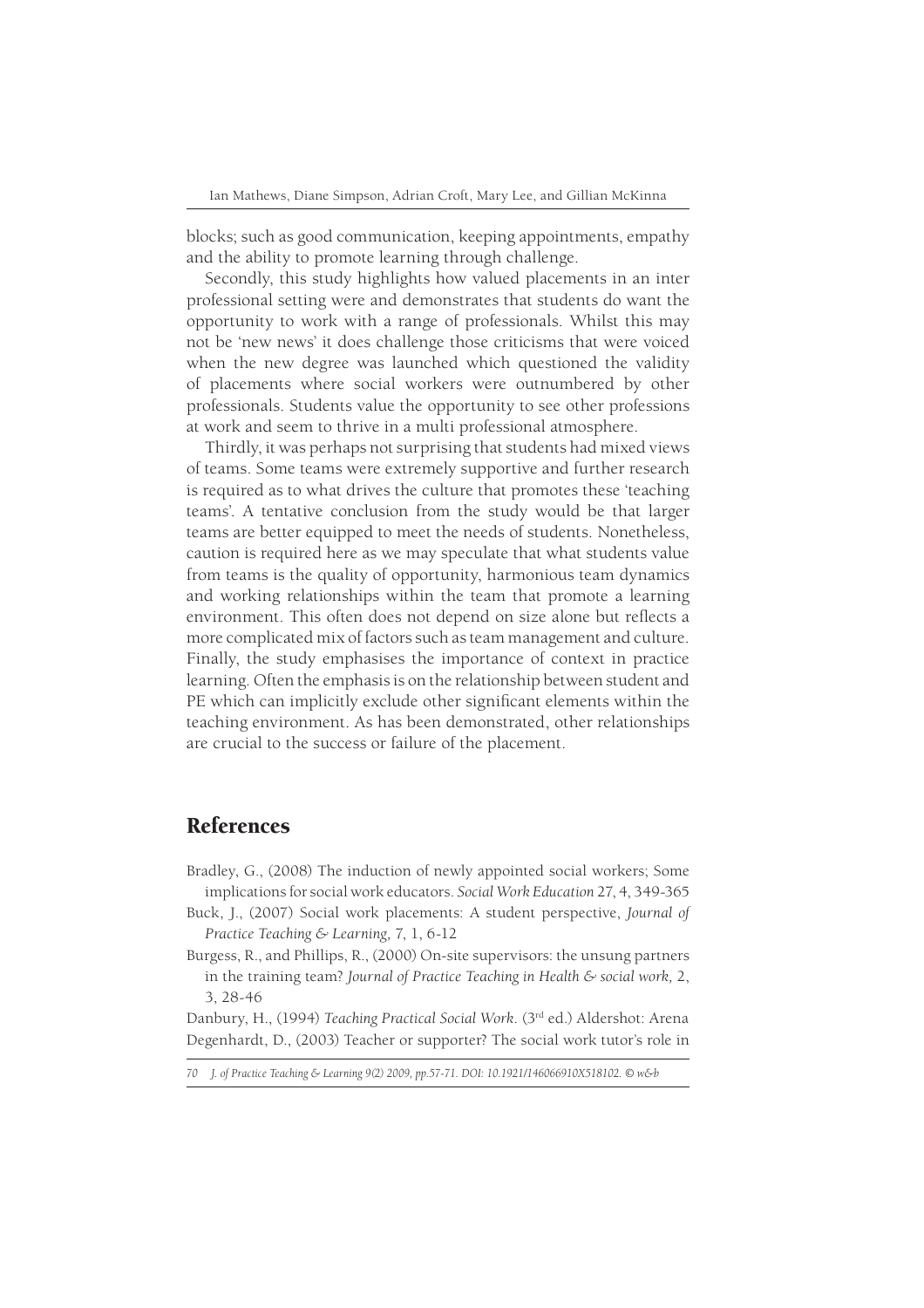blocks; such as good communication, keeping appointments, empathy and the ability to promote learning through challenge.

Secondly, this study highlights how valued placements in an inter professional setting were and demonstrates that students do want the opportunity to work with a range of professionals. Whilst this may not be 'new news' it does challenge those criticisms that were voiced when the new degree was launched which questioned the validity of placements where social workers were outnumbered by other professionals. Students value the opportunity to see other professions at work and seem to thrive in a multi professional atmosphere.

Thirdly, it was perhaps not surprising that students had mixed views of teams. Some teams were extremely supportive and further research is required as to what drives the culture that promotes these 'teaching teams'. A tentative conclusion from the study would be that larger teams are better equipped to meet the needs of students. Nonetheless, caution is required here as we may speculate that what students value from teams is the quality of opportunity, harmonious team dynamics and working relationships within the team that promote a learning environment. This often does not depend on size alone but reflects a more complicated mix of factors such as team management and culture. Finally, the study emphasises the importance of context in practice learning. Often the emphasis is on the relationship between student and PE which can implicitly exclude other significant elements within the teaching environment. As has been demonstrated, other relationships are crucial to the success or failure of the placement.

# References

- Bradley, G., (2008) The induction of newly appointed social workers; Some implications for social work educators. *Social Work Education* 27, 4, 349-365
- Buck, J., (2007) Social work placements: A student perspective, *Journal of Practice Teaching & Learning,* 7, 1, 6-12
- Burgess, R., and Phillips, R., (2000) On-site supervisors: the unsung partners in the training team? *Journal of Practice Teaching in Health & social work,* 2, 3, 28-46

Danbury, H., (1994) *Teaching Practical Social Work*. (3rd ed.) Aldershot: Arena Degenhardt, D., (2003) Teacher or supporter? The social work tutor's role in

*70 J. of Practice Teaching & Learning 9(2) 2009, pp.57-71. DOI: 10.1921/146066910X518102. © w&b*